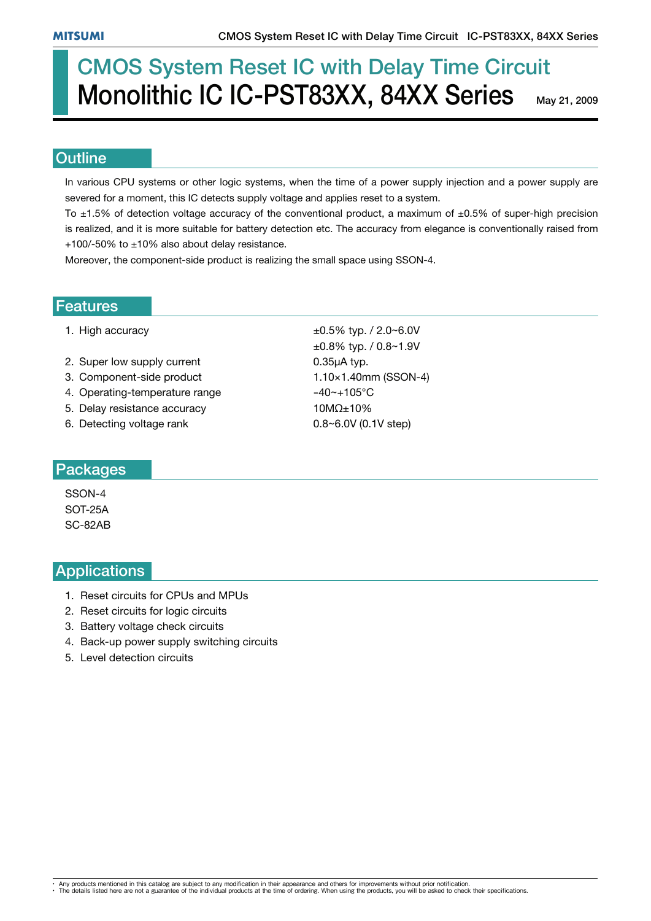# CMOS System Reset IC with Delay Time Circuit Monolithic IC IC-PST83XX, 84XX Series

May 21, 2009

#### **Outline**

In various CPU systems or other logic systems, when the time of a power supply injection and a power supply are severed for a moment, this IC detects supply voltage and applies reset to a system.

To  $\pm$ 1.5% of detection voltage accuracy of the conventional product, a maximum of  $\pm$ 0.5% of super-high precision is realized, and it is more suitable for battery detection etc. The accuracy from elegance is conventionally raised from +100/-50% to  $\pm$ 10% also about delay resistance.

Moreover, the component-side product is realizing the small space using SSON-4.

#### Features

- 
- 2. Super low supply current  $0.35\mu A$  typ.
- 3. Component-side product 1.10×1.40mm (SSON-4)
- 4. Operating-temperature range  $-40$   $-105$ °C
- 5. Delay resistance accuracy  $10M\Omega_{\pm}10\%$
- 6. Detecting voltage rank  $0.8~6.0V$  (0.1V step)

1. High accuracy  $\pm 0.5\%$  typ.  $/2.0\sim 6.0V$  $\pm 0.8\%$  typ. / 0.8~1.9V

#### Packages

SSON-4 SOT-25A SC-82AB

#### **Applications**

- 1. Reset circuits for CPUs and MPUs
- 2. Reset circuits for logic circuits
- 3. Battery voltage check circuits
- 4. Back-up power supply switching circuits
- 5. Level detection circuits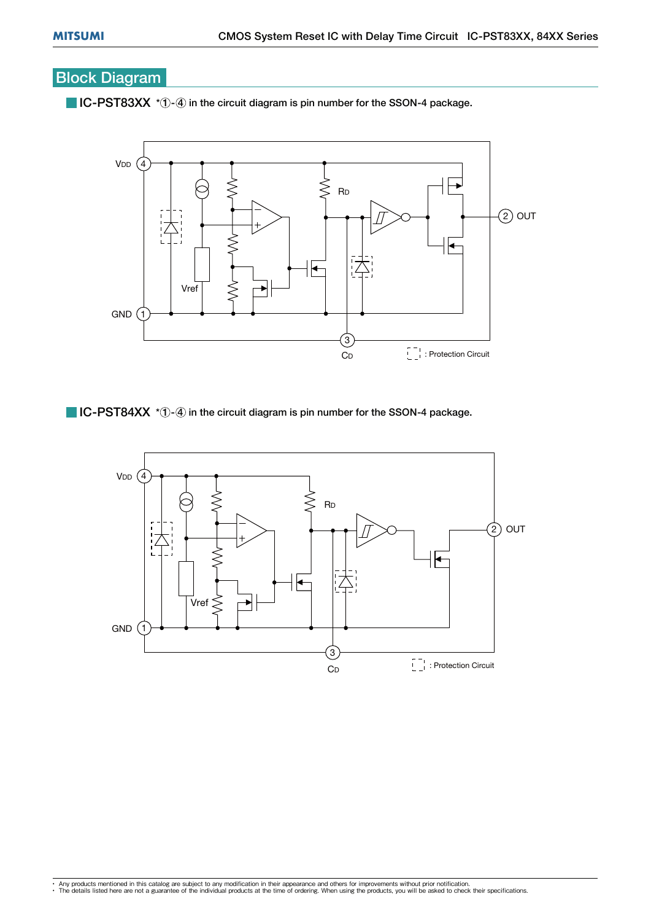## Block Diagram

 $\blacksquare$  IC-PST83XX  $*$   $\lozenge$  in the circuit diagram is pin number for the SSON-4 package.



 $\blacksquare$  IC-PST84XX  $*$   $\lozenge$  in the circuit diagram is pin number for the SSON-4 package.

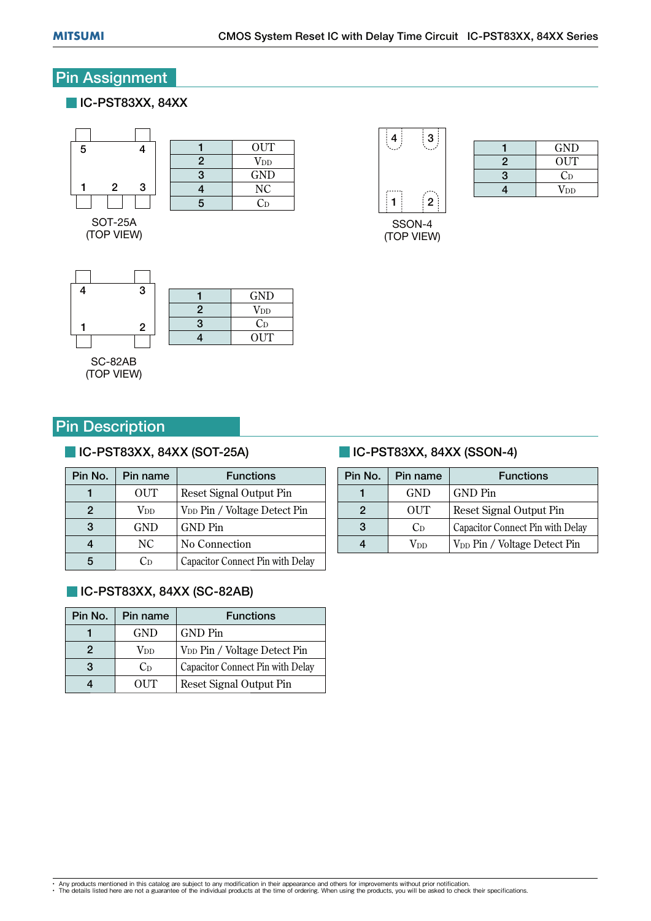### Pin Assignment

#### **IC-PST83XX, 84XX**





SOT-25A (TOP VIEW)

| $\overline{2}$ | $\operatorname{V_{DD}}$ |
|----------------|-------------------------|
| 3              | GND                     |
| 4              | NC                      |
| 5              | Cр                      |
|                |                         |

SSON-4 (TOP VIEW)

|   | <b>GND</b> |
|---|------------|
| 2 | <b>OUT</b> |
| 3 | $C_{D}$    |
| 4 | $V_{DD}$   |
|   |            |

1 3 2 4  $3 \frac{1}{2} \frac{1}{V_{\text{DD}}}$  $\begin{array}{c|c}\n2 & \text{V<sub>DD</sub>}\n\hline\n3 & C_D\n\end{array}$  $\begin{array}{c|c}\n3 & C_D \\
4 & \text{OUT}\n\end{array}$  $OUT$ 

SC-82AB (TOP VIEW)

### **Pin Description**

#### **IC-PST83XX, 84XX (SOT-25A)**

| Pin No. | Pin name               | <b>Functions</b>                         |
|---------|------------------------|------------------------------------------|
|         | <b>OUT</b>             | Reset Signal Output Pin                  |
| 2       | <b>V</b> <sub>DD</sub> | V <sub>DD</sub> Pin / Voltage Detect Pin |
| 3       | <b>GND</b>             | <b>GND</b> Pin                           |
|         | NC                     | No Connection                            |
|         | Сn                     | Capacitor Connect Pin with Delay         |

#### **IC-PST83XX, 84XX (SC-82AB)**

| Pin No. | Pin name     | <b>Functions</b>                         |
|---------|--------------|------------------------------------------|
|         | <b>GND</b>   | GND Pin                                  |
| 2       | $\rm V_{DD}$ | V <sub>DD</sub> Pin / Voltage Detect Pin |
| 3       | $C_{D}$      | Capacitor Connect Pin with Delay         |
|         | OUT          | Reset Signal Output Pin                  |
|         |              |                                          |

#### **IC-PST83XX, 84XX (SSON-4)**

| Pin No. | Pin name   | <b>Functions</b>                         |
|---------|------------|------------------------------------------|
|         | <b>GND</b> | <b>GND</b> Pin                           |
| 2       | OUT        | Reset Signal Output Pin                  |
| З<br>Ċв |            | Capacitor Connect Pin with Delay         |
|         | Vdd        | V <sub>DD</sub> Pin / Voltage Detect Pin |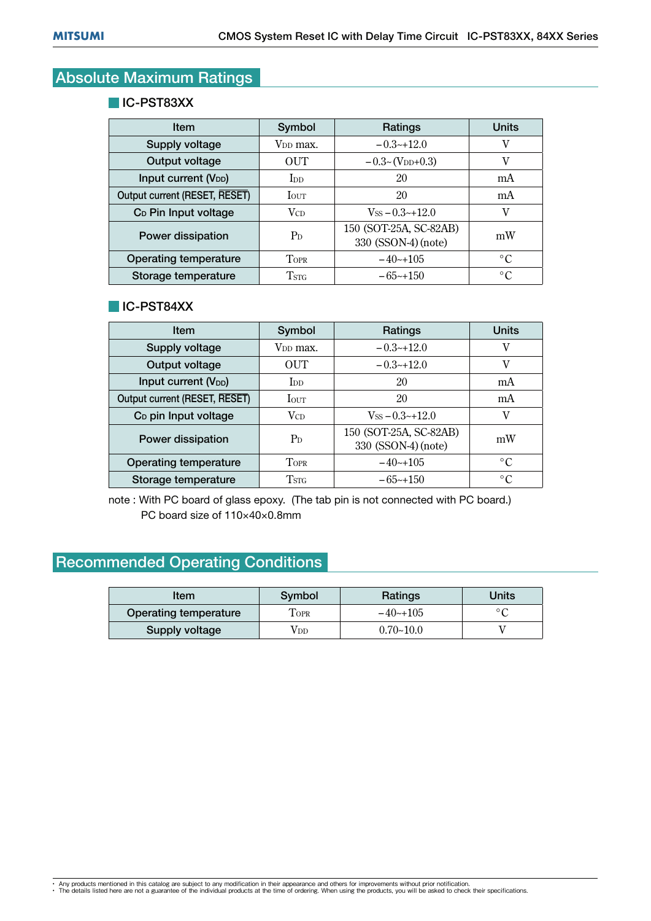## Absolute Maximum Ratings

#### **IC-PST83XX**

| Item                             | Symbol                  | Ratings                                       | <b>Units</b>    |
|----------------------------------|-------------------------|-----------------------------------------------|-----------------|
| <b>Supply voltage</b>            | V <sub>DD</sub> max.    | $-0.3-12.0$                                   | v               |
| Output voltage                   | OUT                     | $-0.3\text{-}$ (V <sub>DD</sub> +0.3)         | v               |
| Input current (V <sub>DD</sub> ) | $\rm{Inn}$              | 20                                            | mA              |
| Output current (RESET, RESET)    | <b>I</b> OUT            | 20                                            | mA              |
| C <sub>D</sub> Pin Input voltage | <b>V</b> <sub>CD</sub>  | $V_{SS} = 0.3 \sim 12.0$                      | V               |
| Power dissipation                | $P_D$                   | 150 (SOT-25A, SC-82AB)<br>330 (SSON-4) (note) | mW              |
| Operating temperature            | <b>TOPR</b>             | $-40+105$                                     | $\rm ^{\circ}C$ |
| Storage temperature              | <b>T</b> <sub>STG</sub> | $-65-150$                                     | $^{\circ}C$     |
|                                  |                         |                                               |                 |

#### **IC-PST84XX**

| Item                             | Symbol                | Ratings                                       | <b>Units</b>    |
|----------------------------------|-----------------------|-----------------------------------------------|-----------------|
| Supply voltage                   | V <sub>DD</sub> max.  | $-0.3-12.0$                                   | V               |
| Output voltage                   | OUT                   | $-0.3-12.0$                                   | V               |
| Input current (V <sub>DD</sub> ) | <b>I</b> <sub>D</sub> | 20                                            | mA              |
| Output current (RESET, RESET)    | <b>I</b> OUT          | 20                                            | mA              |
| C <sub>D</sub> pin Input voltage | $V_{CD}$              | $V_{SS} = 0.3 \rightarrow 12.0$               | v               |
| Power dissipation                | $P_D$                 | 150 (SOT-25A, SC-82AB)<br>330 (SSON-4) (note) | mW              |
| Operating temperature            | <b>TOPR</b>           | $-40$ $-105$                                  | $\circ$ C       |
| Storage temperature              | <b>TSTG</b>           | $-65$ ~+150                                   | $\rm ^{\circ}C$ |

Storage temperature TSTG -65~+150 -6500 C<br>note : With PC board of glass epoxy. (The tab pin is not connected with PC board.) PC board size of 110×40×0.8mm

## Recommended Operating Conditions

| Item                  | Symbol                | Ratings       | Units          |  |
|-----------------------|-----------------------|---------------|----------------|--|
| Operating temperature | $\Gamma_{\text{OPR}}$ | $-40$ $-105$  | $\circ$ $\cap$ |  |
| <b>Supply voltage</b> | Vdd                   | $0.70 - 10.0$ |                |  |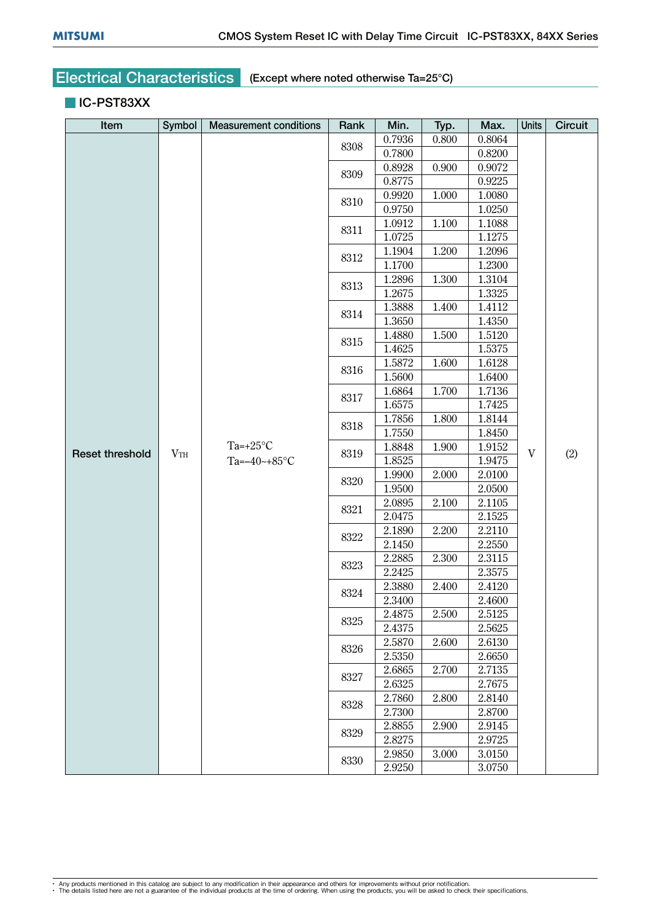#### **IC-PST83XX**

| Item                   | Symbol | <b>Measurement conditions</b> | Rank | Min.   | Typ.  | Max.   | Units        | <b>Circuit</b> |
|------------------------|--------|-------------------------------|------|--------|-------|--------|--------------|----------------|
|                        |        |                               | 8308 | 0.7936 | 0.800 | 0.8064 |              |                |
|                        |        |                               |      | 0.7800 |       | 0.8200 |              |                |
|                        |        |                               | 8309 | 0.8928 | 0.900 | 0.9072 |              |                |
|                        |        |                               |      | 0.8775 |       | 0.9225 |              |                |
|                        |        |                               | 8310 | 0.9920 | 1.000 | 1.0080 |              |                |
|                        |        |                               |      | 0.9750 |       | 1.0250 |              |                |
|                        |        |                               | 8311 | 1.0912 | 1.100 | 1.1088 |              |                |
|                        |        |                               |      | 1.0725 |       | 1.1275 |              |                |
|                        |        |                               | 8312 | 1.1904 | 1.200 | 1.2096 |              |                |
|                        |        |                               |      | 1.1700 |       | 1.2300 |              |                |
|                        |        |                               | 8313 | 1.2896 | 1.300 | 1.3104 |              |                |
|                        |        |                               |      | 1.2675 |       | 1.3325 |              |                |
|                        |        |                               | 8314 | 1.3888 | 1.400 | 1.4112 |              |                |
|                        |        |                               |      | 1.3650 |       | 1.4350 |              |                |
|                        |        |                               | 8315 | 1.4880 | 1.500 | 1.5120 |              |                |
|                        |        |                               |      | 1.4625 |       | 1.5375 |              |                |
|                        |        |                               | 8316 | 1.5872 | 1.600 | 1.6128 |              |                |
|                        |        |                               |      | 1.5600 |       | 1.6400 |              |                |
|                        |        |                               | 8317 | 1.6864 | 1.700 | 1.7136 |              |                |
|                        |        |                               |      | 1.6575 |       | 1.7425 |              |                |
|                        |        | Ta=+25 $°C$                   | 8318 | 1.7856 | 1.800 | 1.8144 | $\mathbf{V}$ |                |
|                        |        |                               |      | 1.7550 |       | 1.8450 |              |                |
| <b>Reset threshold</b> | VTH    |                               | 8319 | 1.8848 | 1.900 | 1.9152 |              | (2)            |
|                        |        | Ta= $-40$ ~+85°C              |      | 1.8525 |       | 1.9475 |              |                |
|                        |        |                               | 8320 | 1.9900 | 2.000 | 2.0100 |              |                |
|                        |        |                               |      | 1.9500 |       | 2.0500 |              |                |
|                        |        |                               | 8321 | 2.0895 | 2.100 | 2.1105 |              |                |
|                        |        |                               |      | 2.0475 |       | 2.1525 |              |                |
|                        |        |                               | 8322 | 2.1890 | 2.200 | 2.2110 |              |                |
|                        |        |                               |      | 2.1450 |       | 2.2550 |              |                |
|                        |        |                               | 8323 | 2.2885 | 2.300 | 2.3115 |              |                |
|                        |        |                               |      | 2.2425 |       | 2.3575 |              |                |
|                        |        |                               | 8324 | 2.3880 | 2.400 | 2.4120 |              |                |
|                        |        |                               |      | 2.3400 |       | 2.4600 |              |                |
|                        |        |                               | 8325 | 2.4875 | 2.500 | 2.5125 |              |                |
|                        |        |                               |      | 2.4375 |       | 2.5625 |              |                |
|                        |        |                               | 8326 | 2.5870 | 2.600 | 2.6130 |              |                |
|                        |        |                               |      | 2.5350 |       | 2.6650 |              |                |
|                        |        |                               | 8327 | 2.6865 | 2.700 | 2.7135 |              |                |
|                        |        |                               |      | 2.6325 |       | 2.7675 |              |                |
|                        |        |                               | 8328 | 2.7860 | 2.800 | 2.8140 |              |                |
|                        |        |                               |      | 2.7300 |       | 2.8700 |              |                |
|                        |        |                               | 8329 | 2.8855 | 2.900 | 2.9145 |              |                |
|                        |        |                               |      | 2.8275 |       | 2.9725 |              |                |
|                        |        |                               | 8330 | 2.9850 | 3.000 | 3.0150 |              |                |
|                        |        |                               |      | 2.9250 |       | 3.0750 |              |                |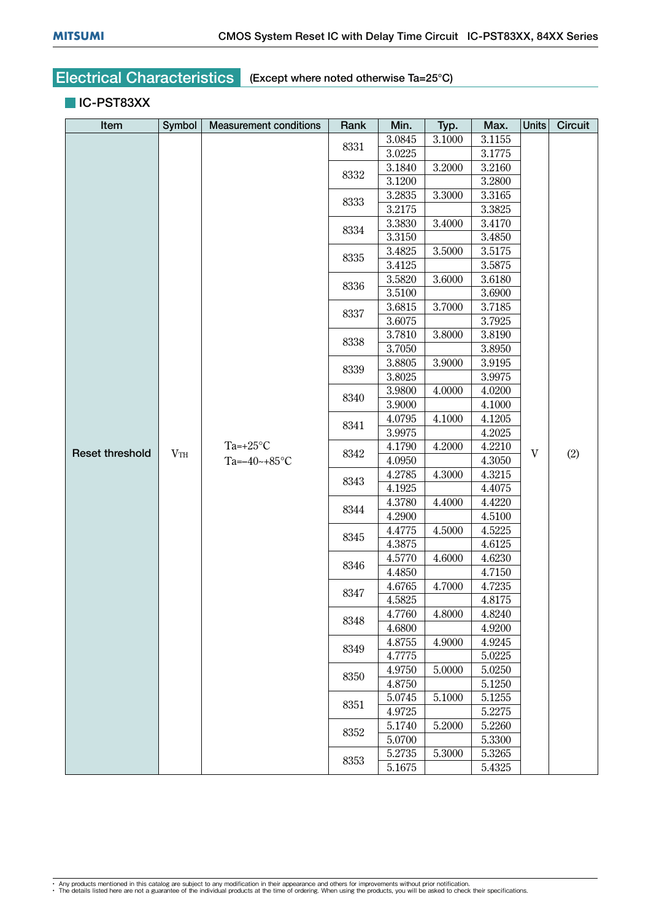#### **IC-PST83XX**

| Item                   | Symbol | <b>Measurement conditions</b>   | Rank | Min.   | Typ.   | Max.   | <b>Units</b> | Circuit |
|------------------------|--------|---------------------------------|------|--------|--------|--------|--------------|---------|
|                        |        |                                 | 8331 | 3.0845 | 3.1000 | 3.1155 |              |         |
|                        |        |                                 |      | 3.0225 |        | 3.1775 |              |         |
|                        |        |                                 | 8332 | 3.1840 | 3.2000 | 3.2160 |              |         |
|                        |        |                                 |      | 3.1200 |        | 3.2800 |              |         |
|                        |        |                                 | 8333 | 3.2835 | 3.3000 | 3.3165 |              |         |
|                        |        |                                 |      | 3.2175 |        | 3.3825 |              |         |
|                        |        |                                 | 8334 | 3.3830 | 3.4000 | 3.4170 |              |         |
|                        |        |                                 |      | 3.3150 |        | 3.4850 |              |         |
|                        |        |                                 | 8335 | 3.4825 | 3.5000 | 3.5175 |              |         |
|                        |        |                                 |      | 3.4125 |        | 3.5875 |              |         |
|                        |        |                                 | 8336 | 3.5820 | 3.6000 | 3.6180 |              |         |
|                        |        |                                 |      | 3.5100 |        | 3.6900 |              |         |
|                        |        |                                 | 8337 | 3.6815 | 3.7000 | 3.7185 |              |         |
|                        |        |                                 |      | 3.6075 |        | 3.7925 |              |         |
|                        |        |                                 | 8338 | 3.7810 | 3.8000 | 3.8190 |              |         |
|                        |        |                                 |      | 3.7050 |        | 3.8950 |              |         |
|                        |        |                                 | 8339 | 3.8805 | 3.9000 | 3.9195 |              |         |
|                        |        |                                 |      | 3.8025 |        | 3.9975 |              |         |
|                        |        |                                 | 8340 | 3.9800 | 4.0000 | 4.0200 |              |         |
|                        |        |                                 |      | 3.9000 |        | 4.1000 |              |         |
|                        |        |                                 | 8341 | 4.0795 | 4.1000 | 4.1205 | $\mathbf V$  |         |
|                        |        | Ta=+25 $°C$<br>Ta= $-40$ ~+85°C |      | 3.9975 |        | 4.2025 |              |         |
| <b>Reset threshold</b> | VTH    |                                 | 8342 | 4.1790 | 4.2000 | 4.2210 |              | (2)     |
|                        |        |                                 |      | 4.0950 |        | 4.3050 |              |         |
|                        |        |                                 | 8343 | 4.2785 | 4.3000 | 4.3215 |              |         |
|                        |        |                                 |      | 4.1925 |        | 4.4075 |              |         |
|                        |        |                                 | 8344 | 4.3780 | 4.4000 | 4.4220 |              |         |
|                        |        |                                 |      | 4.2900 |        | 4.5100 |              |         |
|                        |        |                                 | 8345 | 4.4775 | 4.5000 | 4.5225 |              |         |
|                        |        |                                 |      | 4.3875 |        | 4.6125 |              |         |
|                        |        |                                 | 8346 | 4.5770 | 4.6000 | 4.6230 |              |         |
|                        |        |                                 |      | 4.4850 |        | 4.7150 |              |         |
|                        |        |                                 | 8347 | 4.6765 | 4.7000 | 4.7235 |              |         |
|                        |        |                                 |      | 4.5825 |        | 4.8175 |              |         |
|                        |        |                                 | 8348 | 4.7760 | 4.8000 | 4.8240 |              |         |
|                        |        |                                 |      | 4.6800 |        | 4.9200 |              |         |
|                        |        |                                 | 8349 | 4.8755 | 4.9000 | 4.9245 |              |         |
|                        |        |                                 |      | 4.7775 |        | 5.0225 |              |         |
|                        |        |                                 | 8350 | 4.9750 | 5.0000 | 5.0250 |              |         |
|                        |        |                                 |      | 4.8750 |        | 5.1250 |              |         |
|                        |        |                                 | 8351 | 5.0745 | 5.1000 | 5.1255 |              |         |
|                        |        |                                 |      | 4.9725 |        | 5.2275 |              |         |
|                        |        |                                 | 8352 | 5.1740 | 5.2000 | 5.2260 |              |         |
|                        |        |                                 |      | 5.0700 |        | 5.3300 |              |         |
|                        |        |                                 | 8353 | 5.2735 | 5.3000 | 5.3265 |              |         |
|                        |        |                                 |      | 5.1675 |        | 5.4325 |              |         |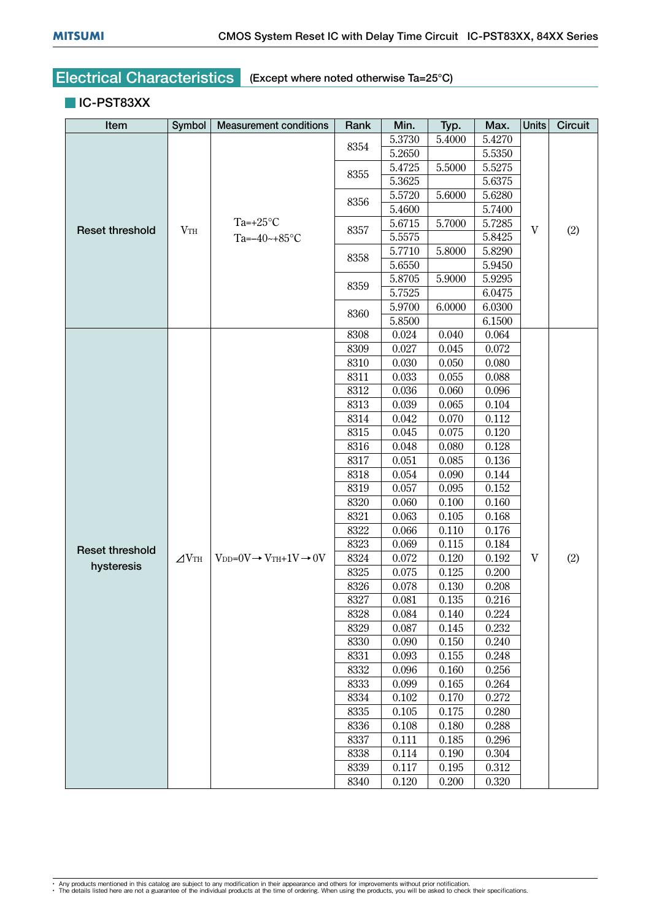#### **IC-PST83XX**

| Item                   | Symbol       | <b>Measurement conditions</b>                        | Rank | Min.   | Typ.   | Max.   | <b>Units</b> | <b>Circuit</b> |
|------------------------|--------------|------------------------------------------------------|------|--------|--------|--------|--------------|----------------|
|                        |              |                                                      | 8354 | 5.3730 | 5.4000 | 5.4270 |              |                |
|                        |              |                                                      |      | 5.2650 |        | 5.5350 |              |                |
|                        |              |                                                      | 8355 | 5.4725 | 5.5000 | 5.5275 |              |                |
|                        |              |                                                      |      | 5.3625 |        | 5.6375 |              |                |
|                        |              |                                                      | 8356 | 5.5720 | 5.6000 | 5.6280 |              |                |
| <b>Reset threshold</b> |              |                                                      |      | 5.4600 |        | 5.7400 |              |                |
|                        | VTH          | Ta=+25 $\rm{^{\circ}C}$                              | 8357 | 5.6715 | 5.7000 | 5.7285 | $\mathbf V$  | (2)            |
|                        |              | Ta= $-40$ ~+85°C                                     |      | 5.5575 |        | 5.8425 |              |                |
|                        |              |                                                      | 8358 | 5.7710 | 5.8000 | 5.8290 |              |                |
|                        |              |                                                      |      | 5.6550 |        | 5.9450 |              |                |
|                        |              |                                                      | 8359 | 5.8705 | 5.9000 | 5.9295 |              |                |
|                        |              |                                                      |      | 5.7525 |        | 6.0475 |              |                |
|                        |              |                                                      | 8360 | 5.9700 | 6.0000 | 6.0300 |              |                |
|                        |              |                                                      |      | 5.8500 |        | 6.1500 |              |                |
|                        |              |                                                      | 8308 | 0.024  | 0.040  | 0.064  |              |                |
|                        |              |                                                      | 8309 | 0.027  | 0.045  | 0.072  |              |                |
|                        |              |                                                      | 8310 | 0.030  | 0.050  | 0.080  |              |                |
|                        |              |                                                      | 8311 | 0.033  | 0.055  | 0.088  |              |                |
|                        |              |                                                      | 8312 | 0.036  | 0.060  | 0.096  |              |                |
|                        |              |                                                      | 8313 | 0.039  | 0.065  | 0.104  |              |                |
|                        |              |                                                      | 8314 | 0.042  | 0.070  | 0.112  |              |                |
|                        |              |                                                      | 8315 | 0.045  | 0.075  | 0.120  |              |                |
|                        |              |                                                      | 8316 | 0.048  | 0.080  | 0.128  |              |                |
|                        |              |                                                      | 8317 | 0.051  | 0.085  | 0.136  |              |                |
|                        |              |                                                      | 8318 | 0.054  | 0.090  | 0.144  |              |                |
|                        |              |                                                      | 8319 | 0.057  | 0.095  | 0.152  |              |                |
|                        |              |                                                      | 8320 | 0.060  | 0.100  | 0.160  |              |                |
|                        |              |                                                      | 8321 | 0.063  | 0.105  | 0.168  |              |                |
|                        |              |                                                      | 8322 | 0.066  | 0.110  | 0.176  |              |                |
| <b>Reset threshold</b> |              |                                                      | 8323 | 0.069  | 0.115  | 0.184  |              |                |
| hysteresis             | $\angle$ VTH | $V_{DD} = 0V \rightarrow V_{TH} + 1V \rightarrow 0V$ | 8324 | 0.072  | 0.120  | 0.192  | V            | (2)            |
|                        |              |                                                      | 8325 | 0.075  | 0.125  | 0.200  |              |                |
|                        |              |                                                      | 8326 | 0.078  | 0.130  | 0.208  |              |                |
|                        |              |                                                      | 8327 | 0.081  | 0.135  | 0.216  |              |                |
|                        |              |                                                      | 8328 | 0.084  | 0.140  | 0.224  |              |                |
|                        |              |                                                      | 8329 | 0.087  | 0.145  | 0.232  |              |                |
|                        |              |                                                      | 8330 | 0.090  | 0.150  | 0.240  |              |                |
|                        |              |                                                      | 8331 | 0.093  | 0.155  | 0.248  |              |                |
|                        |              |                                                      | 8332 | 0.096  | 0.160  | 0.256  |              |                |
|                        |              |                                                      | 8333 | 0.099  | 0.165  | 0.264  |              |                |
|                        |              |                                                      | 8334 | 0.102  | 0.170  | 0.272  |              |                |
|                        |              |                                                      | 8335 | 0.105  | 0.175  | 0.280  |              |                |
|                        |              |                                                      | 8336 | 0.108  | 0.180  | 0.288  |              |                |
|                        |              |                                                      | 8337 | 0.111  | 0.185  | 0.296  |              |                |
|                        |              |                                                      | 8338 | 0.114  | 0.190  | 0.304  |              |                |
|                        |              |                                                      | 8339 | 0.117  | 0.195  | 0.312  |              |                |
|                        |              |                                                      | 8340 | 0.120  | 0.200  | 0.320  |              |                |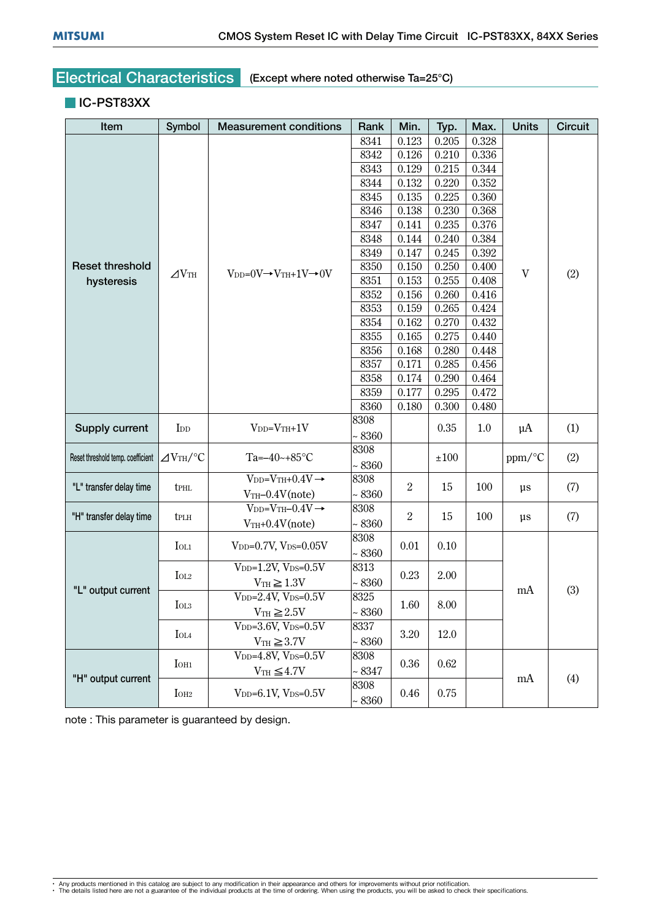#### **IC-PST83XX**

| Item                              | Symbol                          | <b>Measurement conditions</b>                       | Rank         | Min.           | Typ.                   | Max.      | <b>Units</b> | <b>Circuit</b> |
|-----------------------------------|---------------------------------|-----------------------------------------------------|--------------|----------------|------------------------|-----------|--------------|----------------|
|                                   |                                 |                                                     | 8341         | 0.123          | 0.205                  | 0.328     |              |                |
|                                   |                                 |                                                     | 8342         | 0.126          | 0.210                  | 0.336     |              |                |
|                                   |                                 |                                                     | 8343         | 0.129          | 0.215                  | 0.344     |              |                |
|                                   |                                 |                                                     | 8344         | 0.132          | 0.220                  | 0.352     |              |                |
|                                   |                                 |                                                     | 8345         | 0.135          | 0.225                  | 0.360     |              |                |
|                                   |                                 |                                                     | 8346         | 0.138          | 0.230                  | 0.368     |              |                |
|                                   |                                 |                                                     | 8347         | 0.141          | 0.235                  | 0.376     |              |                |
|                                   |                                 |                                                     | 8348         | 0.144          | 0.240                  | 0.384     |              |                |
|                                   |                                 |                                                     | 8349         | 0.147          | 0.245                  | 0.392     |              |                |
| <b>Reset threshold</b>            |                                 |                                                     | 8350         | 0.150          | 0.250                  | 0.400     |              |                |
| hysteresis                        | $\Delta V$ th                   | $V_{DD}=0V \rightarrow V_{TH}+1V \rightarrow 0V$    | 8351         | 0.153          | 0.255                  | 0.408     | $\mathbf V$  | (2)            |
|                                   |                                 |                                                     | 8352         | 0.156          | 0.260                  | 0.416     |              |                |
|                                   |                                 |                                                     | 8353         | 0.159          | 0.265                  | 0.424     |              |                |
|                                   |                                 |                                                     | 8354         | 0.162          | 0.270                  | 0.432     |              |                |
|                                   |                                 |                                                     | 8355         | 0.165          | 0.275                  | 0.440     |              |                |
|                                   |                                 |                                                     | 8356         | 0.168          | 0.280                  | 0.448     |              |                |
|                                   |                                 |                                                     | 8357         | 0.171          | 0.285                  | 0.456     |              |                |
|                                   |                                 |                                                     | 8358         | 0.174          | 0.290                  | 0.464     |              |                |
|                                   |                                 |                                                     | 8359         | 0.177          | 0.295                  | 0.472     |              |                |
|                                   |                                 |                                                     | 8360         | 0.180          | 0.300                  | 0.480     |              |                |
|                                   |                                 |                                                     | 8308         |                |                        |           |              |                |
| Supply current                    | I <sub>DD</sub>                 | $V_{DD}=V_{TH}+1V$                                  | ~58360       |                | 0.35                   | 1.0       | $\mu A$      | (1)            |
|                                   |                                 |                                                     | 8308         |                |                        |           |              |                |
| Reset threshold temp. coefficient | $\triangle$ V <sub>TH</sub> /°C | Ta= $-40$ ~+85°C                                    | ~5360        |                | ±100                   |           | ppm/°C       | (2)            |
|                                   |                                 | $V_{DD}=V_{TH}+0.4V \rightarrow$                    | 8308         |                |                        | 100       |              |                |
| "L" transfer delay time           | <b>t</b> PHL                    | $VTH-0.4V(note)$                                    | ~5360        |                | $\boldsymbol{2}$<br>15 |           | $\mu s$      | (7)            |
|                                   |                                 | $V_{DD}=V_{TH}-0.4V \rightarrow$                    | 8308         |                |                        |           |              |                |
| "H" transfer delay time           | tplh                            | $VTH+0.4V(note)$                                    | ~5360        | $\overline{2}$ |                        | 15<br>100 | $\mu s$      | (7)            |
|                                   |                                 |                                                     | 8308         |                |                        |           |              |                |
|                                   | IOL1                            | $V_{DD}=0.7V$ , $V_{DS}=0.05V$                      | $~10-8360$   | 0.01           | 0.10                   |           |              |                |
|                                   |                                 | $V_{DD}=1.2V$ , $V_{DS}=0.5V$                       | 8313         |                |                        |           |              |                |
|                                   | $I_{OL2}$                       | $V_{TH} \geq 1.3V$                                  | ~58360       | 0.23           | 2.00                   |           |              |                |
| "L" output current                |                                 | $V_{DD} = 2.4V, V_{DS} = 0.5V$                      | 8325         |                |                        |           | mA           | (3)            |
|                                   | IOL <sub>3</sub>                | $V_{TH} \geq 2.5V$                                  | ~58360       | 1.60           | 8.00                   |           |              |                |
|                                   |                                 |                                                     | 8337         |                |                        |           |              |                |
|                                   | <b>I</b> OL4                    | $V_{DD}$ =3.6V, $V_{DS}=0.5V$                       |              | 3.20           | 12.0                   |           |              |                |
|                                   |                                 | $VTH \geq 3.7V$                                     | $~10-8360$   |                |                        |           |              |                |
|                                   | $I$ OH <sub>1</sub>             | V <sub>DD</sub> =4.8V, V <sub>DS</sub> = $0.5V$     | 8308         | 0.36           | 0.62                   |           |              |                |
| "H" output current                |                                 | $VTH \leq 4.7V$                                     | $~\sim 8347$ |                |                        |           | mA           | (4)            |
|                                   | IOH <sub>2</sub>                | V <sub>DD</sub> = $6.1V$ , V <sub>DS</sub> = $0.5V$ | 8308         | 0.46           | 0.75                   |           |              |                |
|                                   |                                 |                                                     | ~5360        |                |                        |           |              |                |

note : This parameter is guaranteed by design.

<sup>•</sup> Any products mentioned in this catalog are subject to any modification in their appearance and others for improvements without prior notification.<br>• The details listed here are not a guarantee of the individual products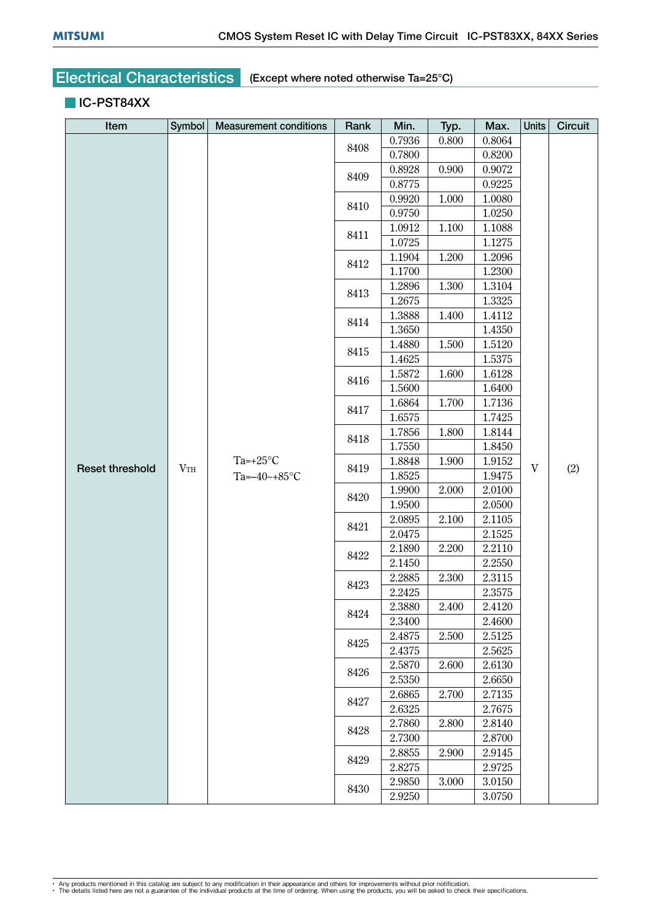#### **IC-PST84XX**

| Item                   | Symbol | <b>Measurement conditions</b>          | Rank         | Min.   | Typ.  | Max.   | <b>Units</b>              | Circuit |
|------------------------|--------|----------------------------------------|--------------|--------|-------|--------|---------------------------|---------|
|                        |        |                                        | 8408         | 0.7936 | 0.800 | 0.8064 |                           |         |
|                        |        |                                        |              | 0.7800 |       | 0.8200 |                           |         |
|                        |        |                                        | 8409         | 0.8928 | 0.900 | 0.9072 |                           |         |
|                        |        |                                        |              | 0.8775 |       | 0.9225 |                           |         |
|                        |        |                                        | 8410         | 0.9920 | 1.000 | 1.0080 |                           |         |
|                        |        |                                        |              | 0.9750 |       | 1.0250 |                           |         |
|                        |        |                                        | 8411         | 1.0912 | 1.100 | 1.1088 |                           |         |
|                        |        |                                        |              | 1.0725 |       | 1.1275 |                           |         |
|                        |        |                                        | 8412         | 1.1904 | 1.200 | 1.2096 |                           |         |
|                        |        |                                        |              | 1.1700 |       | 1.2300 |                           |         |
|                        |        |                                        | 8413         | 1.2896 | 1.300 | 1.3104 |                           |         |
|                        |        |                                        |              | 1.2675 |       | 1.3325 |                           |         |
|                        |        |                                        | 8414         | 1.3888 | 1.400 | 1.4112 |                           |         |
|                        |        |                                        |              | 1.3650 |       | 1.4350 |                           |         |
|                        |        |                                        | 8415         | 1.4880 | 1.500 | 1.5120 |                           |         |
|                        |        |                                        |              | 1.4625 |       | 1.5375 |                           |         |
|                        |        |                                        | 8416         | 1.5872 | 1.600 | 1.6128 |                           | (2)     |
|                        |        |                                        |              | 1.5600 |       | 1.6400 |                           |         |
|                        |        |                                        | 8417         | 1.6864 | 1.700 | 1.7136 |                           |         |
|                        |        | Ta=+25 $°C$<br>VTH<br>Ta= $-40$ ~+85°C |              | 1.6575 |       | 1.7425 |                           |         |
|                        |        |                                        | 8418         | 1.7856 | 1.800 | 1.8144 | $\ensuremath{\mathbf{V}}$ |         |
|                        |        |                                        |              | 1.7550 |       | 1.8450 |                           |         |
| <b>Reset threshold</b> |        |                                        | 8419<br>8420 | 1.8848 | 1.900 | 1.9152 |                           |         |
|                        |        |                                        |              | 1.8525 |       | 1.9475 |                           |         |
|                        |        |                                        |              | 1.9900 | 2.000 | 2.0100 |                           |         |
|                        |        |                                        |              | 1.9500 |       | 2.0500 |                           |         |
|                        |        |                                        | 8421         | 2.0895 | 2.100 | 2.1105 |                           |         |
|                        |        |                                        |              | 2.0475 |       | 2.1525 |                           |         |
|                        |        |                                        | 8422         | 2.1890 | 2.200 | 2.2110 |                           |         |
|                        |        |                                        |              | 2.1450 |       | 2.2550 |                           |         |
|                        |        |                                        | 8423<br>8424 | 2.2885 | 2.300 | 2.3115 |                           |         |
|                        |        |                                        |              | 2.2425 |       | 2.3575 |                           |         |
|                        |        |                                        |              | 2.3880 | 2.400 | 2.4120 |                           |         |
|                        |        |                                        |              | 2.3400 |       | 2.4600 |                           |         |
|                        |        |                                        | 8425         | 2.4875 | 2.500 | 2.5125 |                           |         |
|                        |        |                                        |              | 2.4375 |       | 2.5625 |                           |         |
|                        |        |                                        | 8426         | 2.5870 | 2.600 | 2.6130 |                           |         |
|                        |        |                                        |              | 2.5350 |       | 2.6650 |                           |         |
|                        |        |                                        | 8427         | 2.6865 | 2.700 | 2.7135 |                           |         |
|                        |        |                                        |              | 2.6325 |       | 2.7675 |                           |         |
|                        |        |                                        | 8428         | 2.7860 | 2.800 | 2.8140 |                           |         |
|                        |        |                                        |              | 2.7300 |       | 2.8700 |                           |         |
|                        |        |                                        | 8429         | 2.8855 | 2.900 | 2.9145 |                           |         |
|                        |        |                                        |              | 2.8275 |       | 2.9725 |                           |         |
|                        |        |                                        | 8430         | 2.9850 | 3.000 | 3.0150 |                           |         |
|                        |        |                                        |              | 2.9250 |       | 3.0750 |                           |         |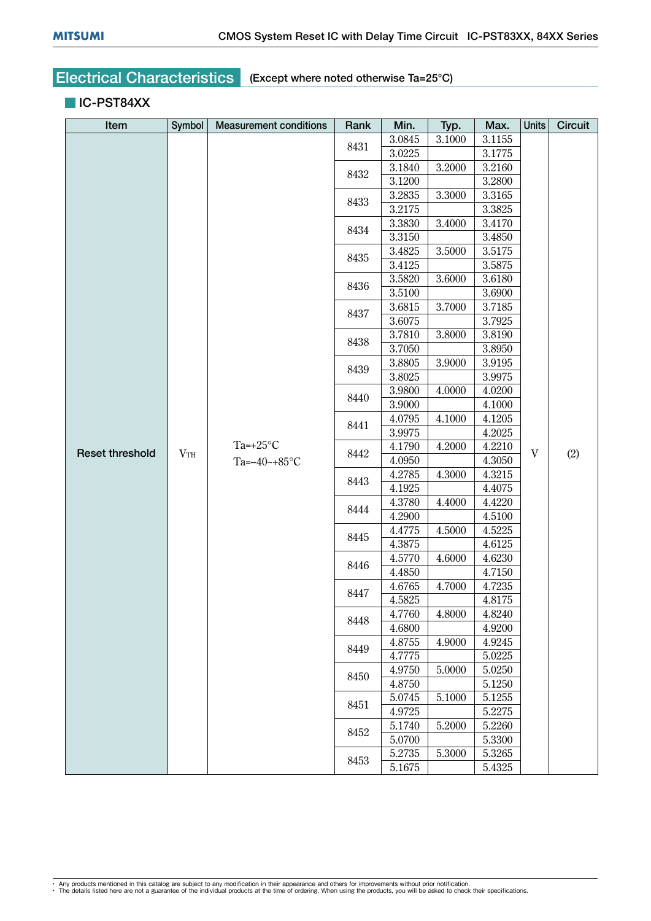#### **IC-PST84XX**

| Item                   | Symbol | <b>Measurement conditions</b>   | Rank         | Min.   | Typ.   | Max.   | <b>Units</b> | Circuit |
|------------------------|--------|---------------------------------|--------------|--------|--------|--------|--------------|---------|
|                        |        |                                 | 8431         | 3.0845 | 3.1000 | 3.1155 |              |         |
|                        |        |                                 |              | 3.0225 |        |        |              |         |
|                        |        |                                 | 8432         | 3.1840 | 3.2000 | 3.2160 |              |         |
|                        |        |                                 |              | 3.1200 |        | 3.2800 |              |         |
|                        |        |                                 | 8433         | 3.2835 | 3.3000 | 3.3165 |              |         |
|                        |        |                                 |              | 3.2175 |        | 3.3825 |              |         |
|                        |        |                                 | 8434         | 3.3830 | 3.4000 | 3.4170 |              |         |
|                        |        |                                 |              | 3.3150 |        | 3.4850 |              |         |
|                        |        |                                 | 8435         | 3.4825 | 3.5000 | 3.5175 |              |         |
|                        |        |                                 |              | 3.4125 |        | 3.5875 |              |         |
|                        |        |                                 | 8436         | 3.5820 | 3.6000 | 3.6180 |              |         |
|                        |        |                                 |              | 3.5100 |        | 3.6900 |              |         |
|                        |        |                                 | 8437         | 3.6815 | 3.7000 | 3.7185 |              |         |
|                        |        |                                 |              | 3.6075 |        | 3.7925 |              |         |
|                        |        |                                 | 8438         | 3.7810 | 3.8000 | 3.8190 |              | (2)     |
|                        |        | Ta=+25 $°C$<br>Ta= $-40$ ~+85°C |              | 3.7050 |        | 3.8950 |              |         |
| <b>Reset threshold</b> |        |                                 | 8439         | 3.8805 | 3.9000 | 3.9195 |              |         |
|                        |        |                                 |              | 3.8025 |        | 3.9975 |              |         |
|                        |        |                                 | 8440         | 3.9800 | 4.0000 | 4.0200 |              |         |
|                        |        |                                 |              | 3.9000 |        | 4.1000 |              |         |
|                        |        |                                 | 8441         | 4.0795 | 4.1000 | 4.1205 |              |         |
|                        |        |                                 |              | 3.9975 |        | 4.2025 |              |         |
|                        | VTH    |                                 | 8442<br>8443 | 4.1790 | 4.2000 | 4.2210 | $\mathbf V$  |         |
|                        |        |                                 |              | 4.0950 |        | 4.3050 |              |         |
|                        |        |                                 |              | 4.2785 | 4.3000 | 4.3215 |              |         |
|                        |        |                                 |              | 4.1925 |        | 4.4075 |              |         |
|                        |        |                                 | 8444         | 4.3780 | 4.4000 | 4.4220 |              |         |
|                        |        |                                 |              | 4.2900 |        | 4.5100 |              |         |
|                        |        |                                 | 8445         | 4.4775 | 4.5000 | 4.5225 |              |         |
|                        |        |                                 |              | 4.3875 |        | 4.6125 |              |         |
|                        |        |                                 | 8446<br>8447 | 4.5770 | 4.6000 | 4.6230 |              |         |
|                        |        |                                 |              | 4.4850 |        | 4.7150 |              |         |
|                        |        |                                 |              | 4.6765 | 4.7000 | 4.7235 |              |         |
|                        |        |                                 |              | 4.5825 |        | 4.8175 |              |         |
|                        |        |                                 | 8448         | 4.7760 | 4.8000 | 4.8240 |              |         |
|                        |        |                                 |              | 4.6800 |        | 4.9200 |              |         |
|                        |        |                                 | 8449         | 4.8755 | 4.9000 | 4.9245 |              |         |
|                        |        |                                 |              | 4.7775 |        | 5.0225 |              |         |
|                        |        |                                 | 8450         | 4.9750 | 5.0000 | 5.0250 |              |         |
|                        |        |                                 |              | 4.8750 |        | 5.1250 |              |         |
|                        |        |                                 | 8451         | 5.0745 | 5.1000 | 5.1255 |              |         |
|                        |        |                                 |              | 4.9725 |        | 5.2275 |              |         |
|                        |        |                                 | 8452         | 5.1740 | 5.2000 | 5.2260 |              |         |
|                        |        |                                 |              | 5.0700 |        | 5.3300 |              |         |
|                        |        |                                 | 8453         | 5.2735 | 5.3000 | 5.3265 |              |         |
|                        |        |                                 |              | 5.1675 |        | 5.4325 |              |         |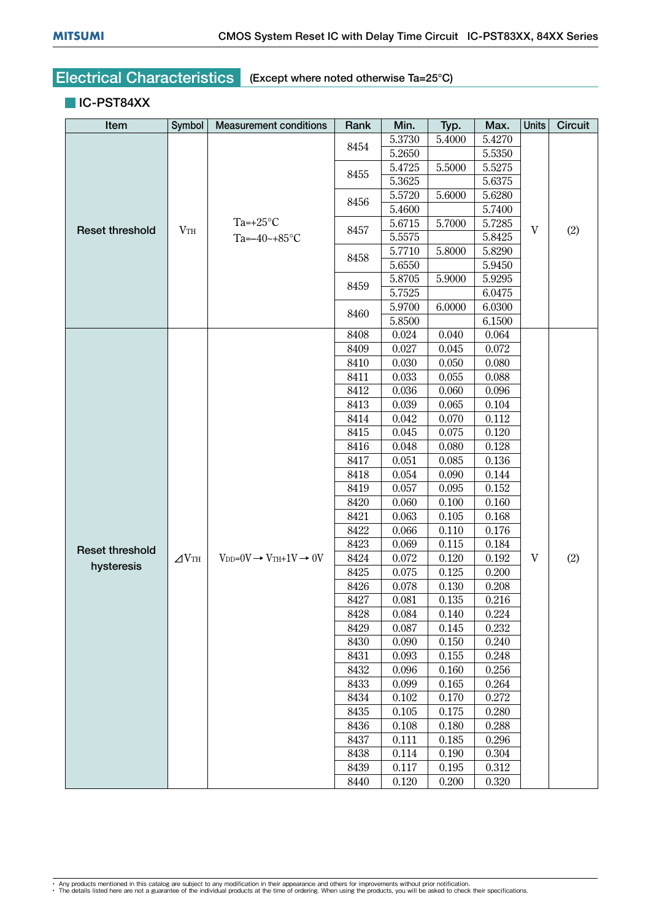#### **IC-PST84XX**

| Item                   | Symbol          | <b>Measurement conditions</b>                        | Rank | Min.             | Typ.   | Max.   | <b>Units</b> | <b>Circuit</b> |
|------------------------|-----------------|------------------------------------------------------|------|------------------|--------|--------|--------------|----------------|
|                        |                 |                                                      | 8454 | 5.3730           | 5.4000 | 5.4270 |              |                |
|                        |                 |                                                      |      | 5.2650           | 5.5350 |        |              |                |
|                        |                 |                                                      | 8455 | 5.4725<br>5.3625 | 5.5000 | 5.5275 |              |                |
|                        |                 |                                                      |      |                  |        | 5.6375 |              |                |
|                        |                 |                                                      | 8456 | 5.5720           | 5.6000 | 5.6280 |              |                |
|                        |                 |                                                      |      | 5.4600           |        | 5.7400 |              |                |
| <b>Reset threshold</b> | VTH             | Ta= $+25^{\circ}$ C                                  | 8457 | 5.6715           | 5.7000 | 5.7285 | $\mathbf V$  | (2)            |
|                        |                 | Ta= $-40$ ~+85°C                                     |      | 5.5575           |        | 5.8425 |              |                |
|                        |                 |                                                      | 8458 | 5.7710           | 5.8000 | 5.8290 |              |                |
|                        |                 |                                                      |      | 5.6550           |        | 5.9450 |              |                |
|                        |                 |                                                      | 8459 | 5.8705           | 5.9000 | 5.9295 |              |                |
|                        |                 |                                                      |      | 5.7525           |        | 6.0475 |              |                |
|                        |                 |                                                      | 8460 | 5.9700           | 6.0000 | 6.0300 |              |                |
|                        |                 |                                                      |      | 5.8500           |        | 6.1500 |              |                |
|                        |                 |                                                      | 8408 | 0.024            | 0.040  | 0.064  |              |                |
|                        |                 |                                                      | 8409 | 0.027            | 0.045  | 0.072  |              | (2)            |
|                        |                 |                                                      | 8410 | 0.030            | 0.050  | 0.080  |              |                |
|                        |                 |                                                      | 8411 | 0.033            | 0.055  | 0.088  |              |                |
|                        | $\triangle$ VTH |                                                      | 8412 | 0.036            | 0.060  | 0.096  |              |                |
|                        |                 |                                                      | 8413 | 0.039            | 0.065  | 0.104  |              |                |
|                        |                 |                                                      | 8414 | 0.042            | 0.070  | 0.112  |              |                |
|                        |                 |                                                      | 8415 | 0.045            | 0.075  | 0.120  |              |                |
|                        |                 |                                                      | 8416 | 0.048            | 0.080  | 0.128  |              |                |
|                        |                 |                                                      | 8417 | 0.051            | 0.085  | 0.136  |              |                |
|                        |                 |                                                      | 8418 | 0.054            | 0.090  | 0.144  |              |                |
|                        |                 |                                                      | 8419 | 0.057            | 0.095  | 0.152  |              |                |
|                        |                 |                                                      | 8420 | 0.060            | 0.100  | 0.160  |              |                |
|                        |                 |                                                      | 8421 | 0.063            | 0.105  | 0.168  |              |                |
|                        |                 |                                                      | 8422 | 0.066            | 0.110  | 0.176  |              |                |
| <b>Reset threshold</b> |                 |                                                      | 8423 | 0.069            | 0.115  | 0.184  |              |                |
| hysteresis             |                 | $V_{DD} = 0V \rightarrow V_{TH} + 1V \rightarrow 0V$ | 8424 | 0.072            | 0.120  | 0.192  | V            |                |
|                        |                 |                                                      | 8425 | 0.075            | 0.125  | 0.200  |              |                |
|                        |                 |                                                      | 8426 | 0.078            | 0.130  | 0.208  |              |                |
|                        |                 |                                                      | 8427 | 0.081            | 0.135  | 0.216  |              |                |
|                        |                 |                                                      | 8428 | 0.084            | 0.140  | 0.224  |              |                |
|                        |                 |                                                      | 8429 | 0.087            | 0.145  | 0.232  |              |                |
|                        |                 |                                                      | 8430 | 0.090            | 0.150  | 0.240  |              |                |
|                        |                 |                                                      | 8431 | 0.093            | 0.155  | 0.248  |              |                |
|                        |                 |                                                      | 8432 | 0.096            | 0.160  | 0.256  |              |                |
|                        |                 |                                                      | 8433 | 0.099            | 0.165  | 0.264  |              |                |
|                        |                 |                                                      | 8434 | 0.102            | 0.170  | 0.272  |              |                |
|                        |                 |                                                      | 8435 | 0.105            | 0.175  | 0.280  |              |                |
|                        |                 |                                                      | 8436 | 0.108            | 0.180  | 0.288  |              |                |
|                        |                 |                                                      | 8437 | 0.111            | 0.185  | 0.296  |              |                |
|                        |                 |                                                      | 8438 | 0.114            | 0.190  | 0.304  |              |                |
|                        |                 |                                                      | 8439 | 0.117            | 0.195  | 0.312  |              |                |
|                        |                 |                                                      | 8440 | 0.120            | 0.200  | 0.320  |              |                |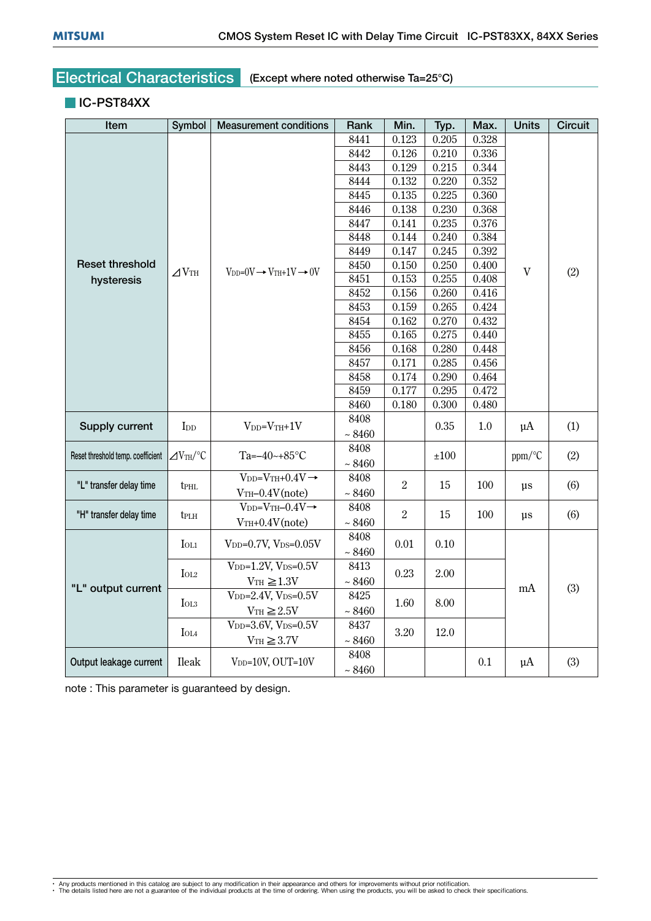#### **IC-PST84XX**

| Item                              | Symbol                       | <b>Measurement conditions</b>                    | Rank        | Min.             | Typ.  | Max.  | <b>Units</b> | <b>Circuit</b> |
|-----------------------------------|------------------------------|--------------------------------------------------|-------------|------------------|-------|-------|--------------|----------------|
|                                   |                              |                                                  | 8441        | 0.123            | 0.205 | 0.328 |              |                |
|                                   |                              |                                                  | 8442        | 0.126            | 0.210 | 0.336 |              |                |
|                                   |                              |                                                  | 8443        | 0.129            | 0.215 | 0.344 |              |                |
|                                   |                              |                                                  | 8444        | 0.132            | 0.220 | 0.352 |              |                |
|                                   |                              |                                                  | 8445        | 0.135            | 0.225 | 0.360 |              |                |
|                                   |                              |                                                  | 8446        | 0.138            | 0.230 | 0.368 |              |                |
|                                   |                              |                                                  | 8447        | 0.141            | 0.235 | 0.376 |              |                |
|                                   |                              |                                                  | 8448        | 0.144            | 0.240 | 0.384 |              |                |
|                                   |                              |                                                  | 8449        | 0.147            | 0.245 | 0.392 |              |                |
| <b>Reset threshold</b>            | $\angle$ <sub>TH</sub>       | $V_{DD}=0V \rightarrow V_{TH}+1V \rightarrow 0V$ | 8450        | 0.150            | 0.250 | 0.400 | $\mathbf{V}$ | (2)            |
| hysteresis                        |                              |                                                  | 8451        | 0.153            | 0.255 | 0.408 |              |                |
|                                   |                              |                                                  | 8452        | 0.156            | 0.260 | 0.416 |              |                |
|                                   |                              |                                                  | 8453        | 0.159            | 0.265 | 0.424 |              |                |
|                                   |                              |                                                  | 8454        | 0.162            | 0.270 | 0.432 |              |                |
|                                   |                              |                                                  | 8455        | 0.165            | 0.275 | 0.440 |              |                |
|                                   |                              |                                                  | 8456        | 0.168            | 0.280 | 0.448 |              |                |
|                                   |                              |                                                  | 8457        | 0.171            | 0.285 | 0.456 |              |                |
|                                   |                              |                                                  | 8458        | 0.174            | 0.290 | 0.464 |              |                |
|                                   |                              |                                                  | 8459        | 0.177            | 0.295 | 0.472 |              |                |
|                                   |                              |                                                  | 8460        | 0.180            | 0.300 | 0.480 |              |                |
|                                   |                              | $V_{DD}=V_{TH}+1V$<br>I <sub>DD</sub>            | 8408        |                  | 0.35  | 1.0   | $\mu A$      |                |
| Supply current                    |                              |                                                  | ~1.8460     |                  |       |       |              | (1)            |
|                                   |                              |                                                  | 8408        |                  |       |       |              |                |
| Reset threshold temp. coefficient | $\angle$ V <sub>TH</sub> /°C | Ta= $-40$ ~+85°C                                 | ~1.8460     |                  | ±100  |       | ppm/°C       | (2)            |
|                                   |                              | $V_{DD}=V_{TH}+0.4V \rightarrow$                 | 8408        |                  |       |       |              |                |
| "L" transfer delay time           | <b>tPHL</b>                  | $V$ TH $-0.4V$ (note)                            | $\sim 8460$ | $\boldsymbol{2}$ | 15    | 100   | <b>us</b>    | (6)            |
|                                   |                              | $V_{DD}=V_{TH}-0.4V \rightarrow$                 | 8408        |                  |       |       |              |                |
| "H" transfer delay time           | tplh                         | $VTH+0.4V(note)$                                 | $\sim 8460$ | $\overline{2}$   | 15    | 100   | μs           | (6)            |
|                                   |                              |                                                  | 8408        |                  |       |       |              |                |
|                                   | $I_{OL1}$                    | $V_{DD}=0.7V$ , $V_{DS}=0.05V$                   | $\sim 8460$ | 0.01             | 0.10  |       |              |                |
| "L" output current                |                              | $V_{DD}=1.2V$ , $V_{DS}=0.5V$                    | 8413        |                  |       |       |              |                |
|                                   | $I_{OL2}$                    | $VTH \ge 1.3V$                                   | $\sim 8460$ | 0.23             | 2.00  |       |              |                |
|                                   |                              | $V_{DD} = 2.4V, V_{DS} = 0.5V$                   | 8425        |                  |       |       | mA           | (3)            |
|                                   | $I_{OL3}$                    | $V_{TH} \geq 2.5V$                               | $\sim 8460$ | 1.60             | 8.00  |       |              |                |
|                                   |                              | $V_{DD}$ =3.6V, $V_{DS}=0.5V$                    | 8437        |                  |       |       |              |                |
|                                   | $I_{OL4}$                    | $V_{TH} \geq 3.7V$                               | $\sim 8460$ | 3.20             | 12.0  |       |              |                |
|                                   |                              |                                                  | 8408        |                  |       |       |              |                |
| Output leakage current            | <b>Ileak</b>                 | V <sub>DD</sub> =10V, OUT=10V                    |             |                  |       | 0.1   | $\mu$ A      | (3)            |
|                                   |                              |                                                  | $\sim 8460$ |                  |       |       |              |                |

note : This parameter is guaranteed by design.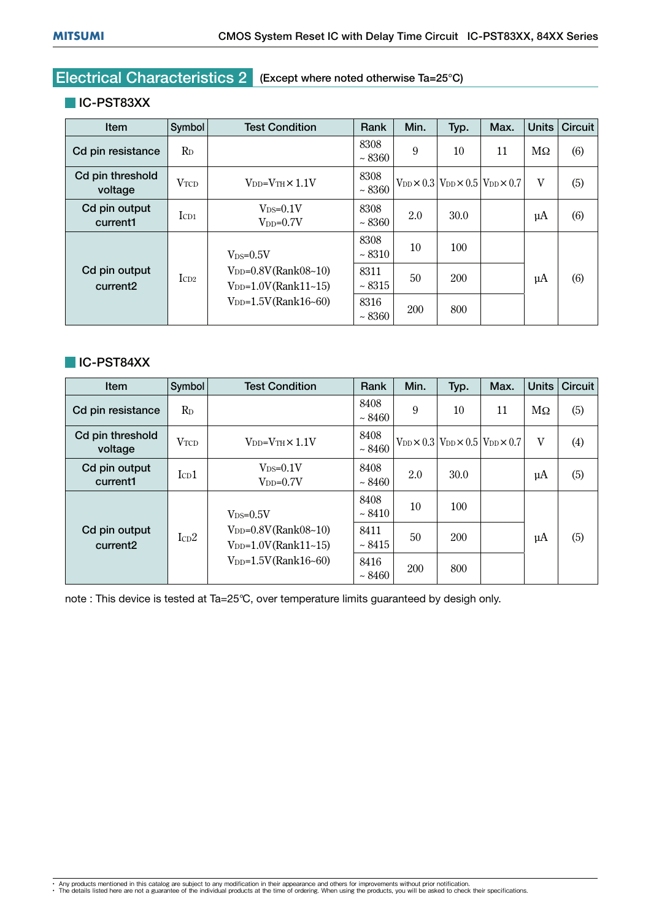#### **IC-PST83XX**

| Item                                  | Symbol      | <b>Test Condition</b>                                 | Rank               | Min. | Typ.       | Max.                                                              | Units         | Circuit |
|---------------------------------------|-------------|-------------------------------------------------------|--------------------|------|------------|-------------------------------------------------------------------|---------------|---------|
| Cd pin resistance                     | $R_{D}$     |                                                       | 8308<br>~1.8360    | 9    | 10         | 11                                                                | $\rm M\Omega$ | (6)     |
| Cd pin threshold<br>voltage           | <b>VTCD</b> | $V_{DD}=V_{TH}\times 1.1V$                            | 8308<br>~1.8360    |      |            | $V_{DD}$ $\times$ 0.3 $V_{DD}$ $\times$ 0.5 $V_{DD}$ $\times$ 0.7 | V             | (5)     |
| Cd pin output<br>current1             | $I_{CD1}$   | $V_{DS}=0.1V$<br>$V_{DD} = 0.7V$                      | 8308<br>~1.8360    | 2.0  | 30.0       |                                                                   | $\mu$ A       | (6)     |
|                                       |             | $V_{DS}=0.5V$                                         | 8308<br>$~10^{-8}$ | 10   | 100        |                                                                   |               |         |
| Cd pin output<br>current <sub>2</sub> | $I_{CD2}$   | $V_{DD}=0.8V$ (Rank08~10)<br>$V_{DD}=1.0V(Rank11-15)$ | 8311<br>~3315      | 50   | <b>200</b> |                                                                   | μA            | (6)     |
|                                       |             | $V_{DD} = 1.5V(Rank16-60)$                            | 8316<br>~1.8360    | 200  | 800        |                                                                   |               |         |

#### **IC-PST84XX**

| Item                                  | Symbol                      | <b>Test Condition</b>                                 | Rank                 | Min. | Typ.       | Max.                                                              | Units     | Circuit |
|---------------------------------------|-----------------------------|-------------------------------------------------------|----------------------|------|------------|-------------------------------------------------------------------|-----------|---------|
| Cd pin resistance                     | $R_{D}$                     |                                                       | 8408<br>~1.8460      | 9    | 10         | 11                                                                | $M\Omega$ | (5)     |
| Cd pin threshold<br>voltage           | <b>VTCD</b>                 | $V_{DD}=V_{TH}\times 1.1V$                            | 8408<br>~1.8460      |      |            | $V_{DD}$ $\times$ 0.3 $V_{DD}$ $\times$ 0.5 $V_{DD}$ $\times$ 0.7 | V         | (4)     |
| Cd pin output<br>current1             | $I_{CD}1$                   | $V_{DS}=0.1V$<br>$V_{DD} = 0.7V$                      | 8408<br>$~\sim 8460$ | 2.0  | 30.0       |                                                                   | $\mu$ A   | (5)     |
|                                       |                             | $V_{DS}=0.5V$                                         | 8408<br>$~\sim 8410$ | 10   | 100        |                                                                   |           |         |
| Cd pin output<br>current <sub>2</sub> | $\rm ICD2$                  | $V_{DD}=0.8V$ (Rank08~10)<br>$V_{DD}=1.0V(Rank11-15)$ | 8411<br>~1.8415      | 50   | <b>200</b> |                                                                   | $\mu$ A   | (5)     |
|                                       | $V_{DD} = 1.5V (Rank16-60)$ | 8416<br>$~\sim 8460$                                  | 200                  | 800  |            |                                                                   |           |         |

note : This device is tested at Ta=25°C, over temperature limits guaranteed by desigh only.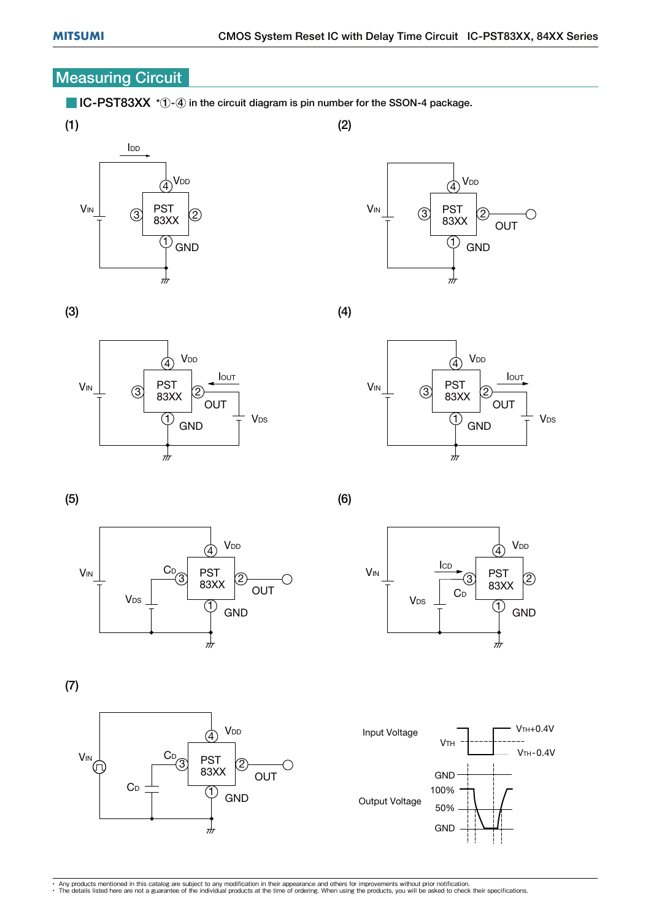### **Measuring Circuit**

 $\blacksquare$  IC-PST83XX  $*$   $\lozenge$  in the circuit diagram is pin number for the SSON-4 package.





(3)











(6)

(2)

(4)



(7)



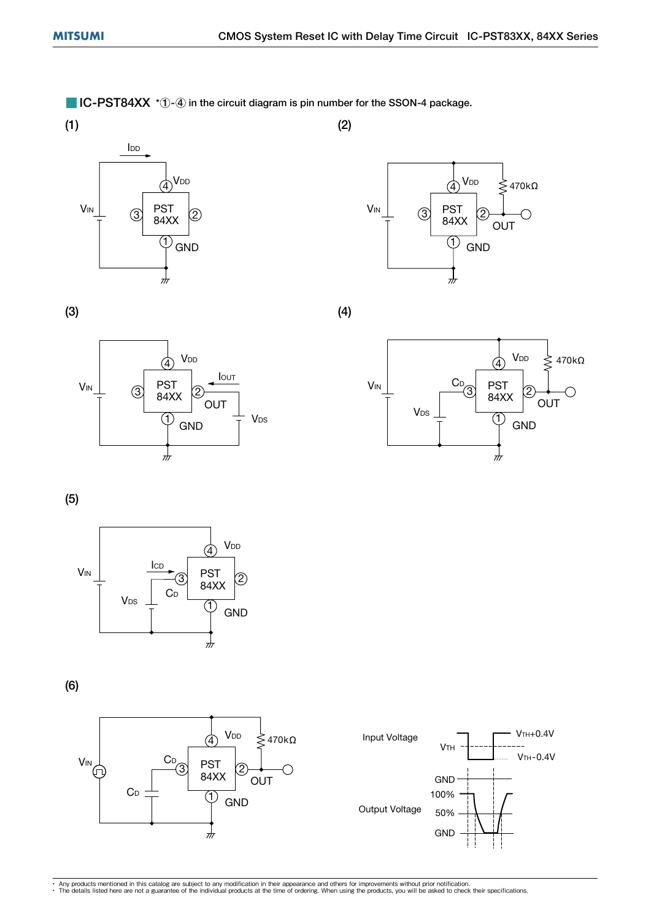$\blacksquare$  IC-PST84XX  $*$   $\lozenge$  in the circuit diagram is pin number for the SSON-4 package.





(4)

(2)



(3)



(5)



(6)



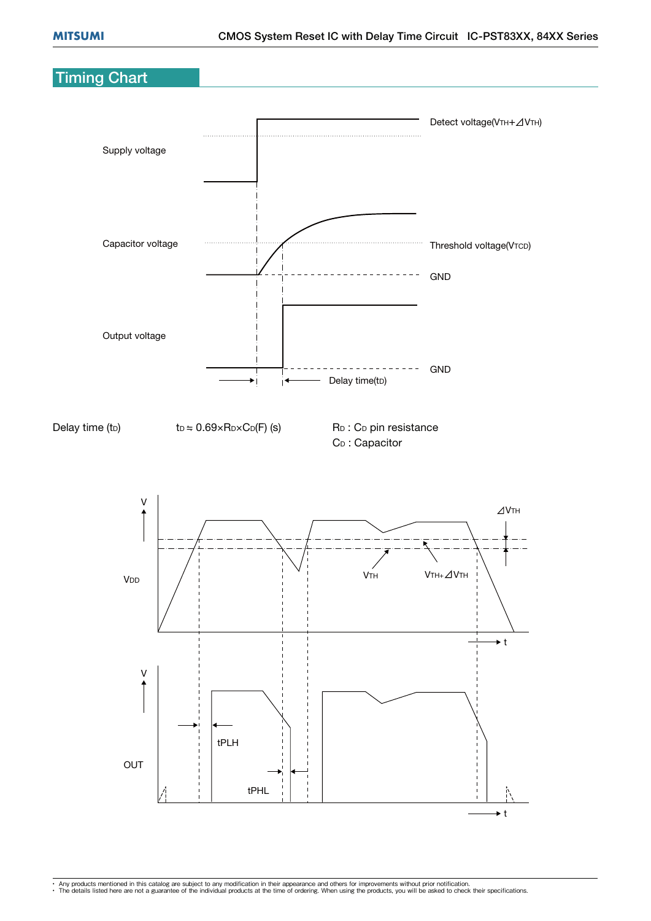## Timing Chart

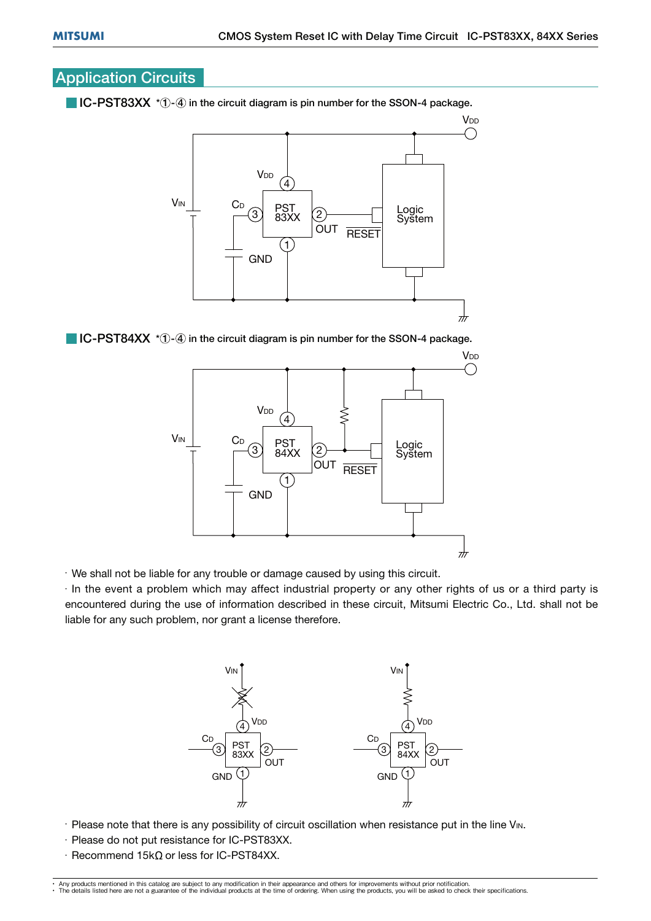## Application Circuits

 $\blacksquare$  IC-PST83XX  $*$   $\lozenge$  in the circuit diagram is pin number for the SSON-4 package.

![](_page_16_Figure_4.jpeg)

 $\blacksquare$  IC-PST84XX  $*$   $\lozenge$  in the circuit diagram is pin number for the SSON-4 package.

![](_page_16_Figure_6.jpeg)

 $\cdot$  We shall not be liable for any trouble or damage caused by using this circuit.

 $\cdot$  In the event a problem which may affect industrial property or any other rights of us or a third party is encountered during the use of information described in these circuit, Mitsumi Electric Co., Ltd. shall not be liable for any such problem, nor grant a license therefore.

![](_page_16_Figure_9.jpeg)

- $\cdot$  Please note that there is any possibility of circuit oscillation when resistance put in the line V<sub>IN</sub>.
- $\cdot$  Please do not put resistance for IC-PST83XX.
- $\cdot$  Recommend 15k $\Omega$  or less for IC-PST84XX.

<sup>•</sup> Any products mentioned in this catalog are subject to any modification in their appearance and others for improvements without prior notification.<br>• The details listed here are not a guarantee of the individual products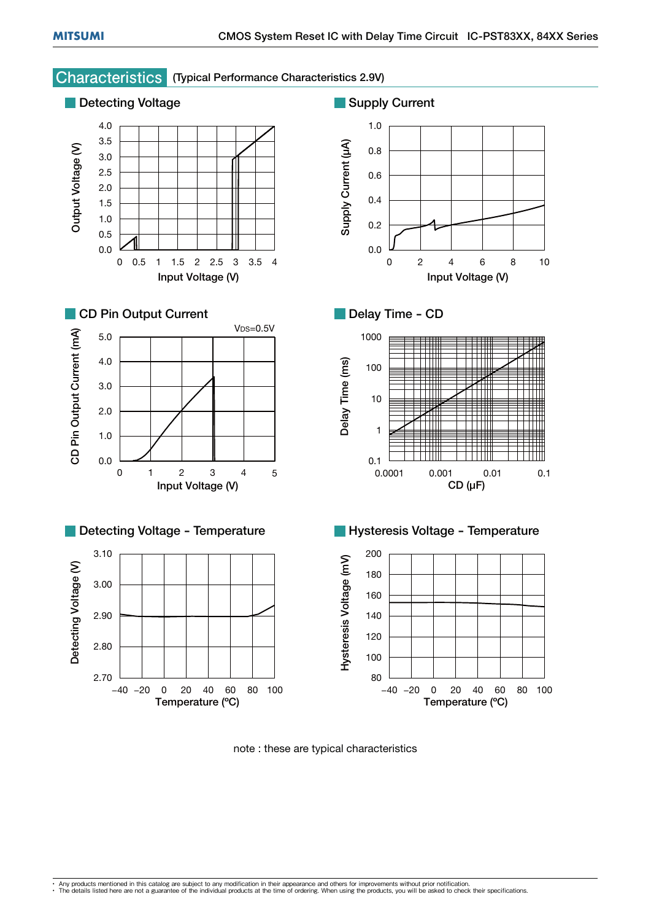## **Characteristics** (Typical Performance Characteristics 2.9V)

![](_page_17_Figure_3.jpeg)

note : these are typical characteristics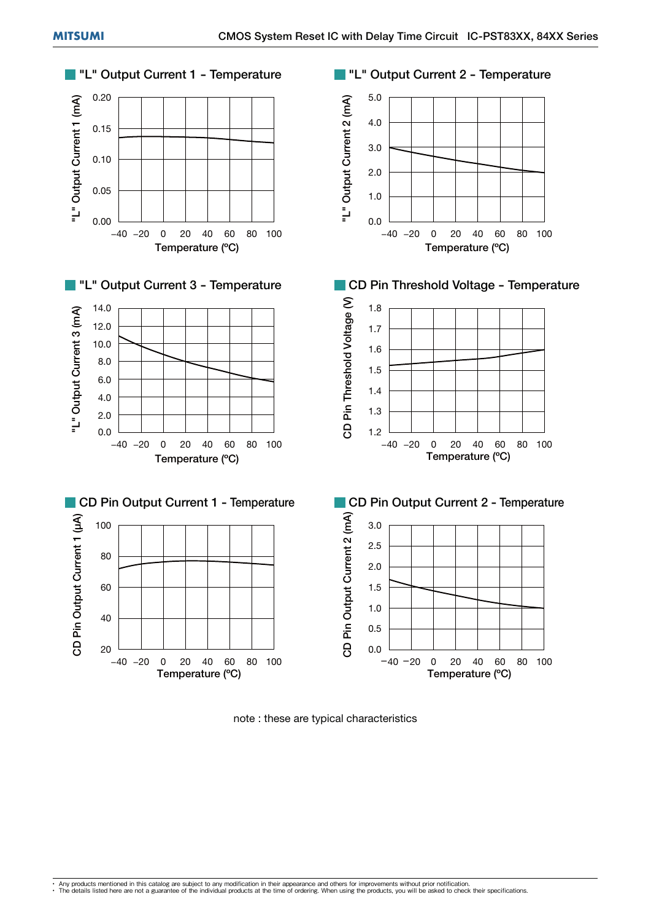![](_page_18_Figure_2.jpeg)

note : these are typical characteristics